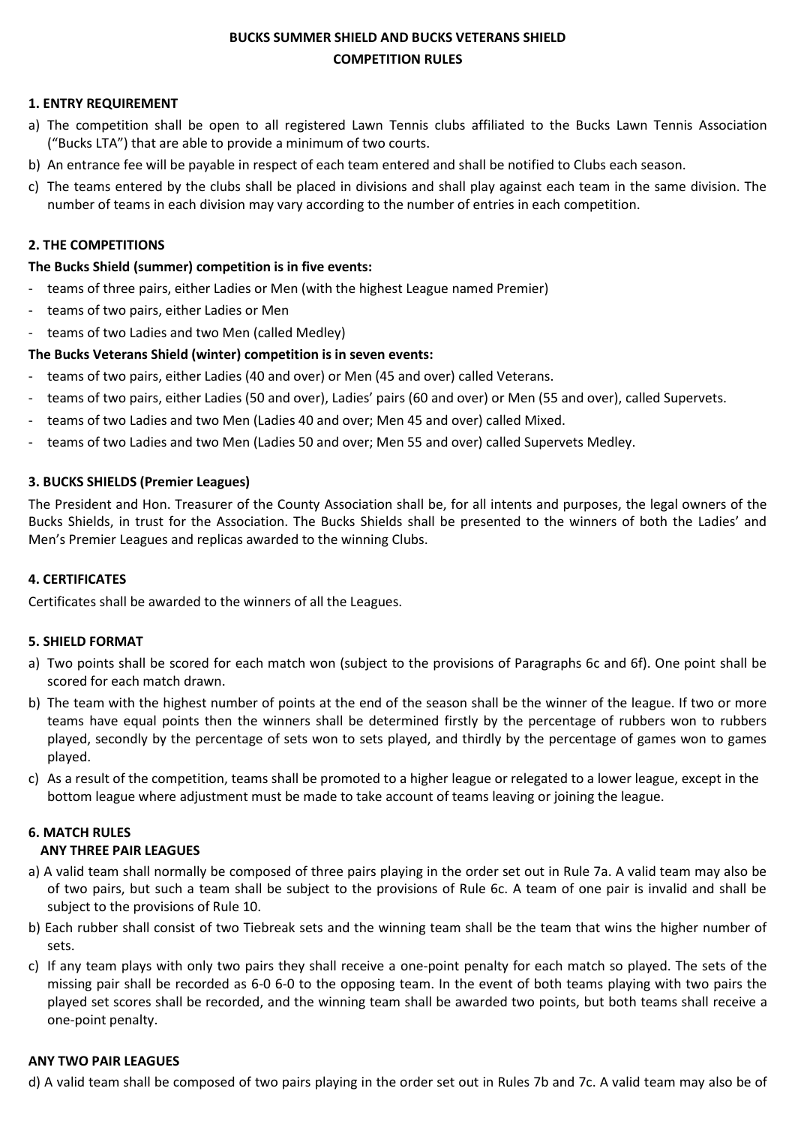# **BUCKS SUMMER SHIELD AND BUCKS VETERANS SHIELD COMPETITION RULES**

### **1. ENTRY REQUIREMENT**

- a) The competition shall be open to all registered Lawn Tennis clubs affiliated to the Bucks Lawn Tennis Association ("Bucks LTA") that are able to provide a minimum of two courts.
- b) An entrance fee will be payable in respect of each team entered and shall be notified to Clubs each season.
- c) The teams entered by the clubs shall be placed in divisions and shall play against each team in the same division. The number of teams in each division may vary according to the number of entries in each competition.

#### **2. THE COMPETITIONS**

#### **The Bucks Shield (summer) competition is in five events:**

- teams of three pairs, either Ladies or Men (with the highest League named Premier)
- teams of two pairs, either Ladies or Men
- teams of two Ladies and two Men (called Medley)

### **The Bucks Veterans Shield (winter) competition is in seven events:**

- teams of two pairs, either Ladies (40 and over) or Men (45 and over) called Veterans.
- teams of two pairs, either Ladies (50 and over), Ladies' pairs (60 and over) or Men (55 and over), called Supervets.
- teams of two Ladies and two Men (Ladies 40 and over; Men 45 and over) called Mixed.
- teams of two Ladies and two Men (Ladies 50 and over; Men 55 and over) called Supervets Medley.

### **3. BUCKS SHIELDS (Premier Leagues)**

The President and Hon. Treasurer of the County Association shall be, for all intents and purposes, the legal owners of the Bucks Shields, in trust for the Association. The Bucks Shields shall be presented to the winners of both the Ladies' and Men's Premier Leagues and replicas awarded to the winning Clubs.

#### **4. CERTIFICATES**

Certificates shall be awarded to the winners of all the Leagues.

#### **5. SHIELD FORMAT**

- a) Two points shall be scored for each match won (subject to the provisions of Paragraphs 6c and 6f). One point shall be scored for each match drawn.
- b) The team with the highest number of points at the end of the season shall be the winner of the league. If two or more teams have equal points then the winners shall be determined firstly by the percentage of rubbers won to rubbers played, secondly by the percentage of sets won to sets played, and thirdly by the percentage of games won to games played.
- c) As a result of the competition, teams shall be promoted to a higher league or relegated to a lower league, except in the bottom league where adjustment must be made to take account of teams leaving or joining the league.

#### **6. MATCH RULES**

#### **ANY THREE PAIR LEAGUES**

- a) A valid team shall normally be composed of three pairs playing in the order set out in Rule 7a. A valid team may also be of two pairs, but such a team shall be subject to the provisions of Rule 6c. A team of one pair is invalid and shall be subject to the provisions of Rule 10.
- b) Each rubber shall consist of two Tiebreak sets and the winning team shall be the team that wins the higher number of sets.
- c) If any team plays with only two pairs they shall receive a one-point penalty for each match so played. The sets of the missing pair shall be recorded as 6-0 6-0 to the opposing team. In the event of both teams playing with two pairs the played set scores shall be recorded, and the winning team shall be awarded two points, but both teams shall receive a one-point penalty.

#### **ANY TWO PAIR LEAGUES**

d) A valid team shall be composed of two pairs playing in the order set out in Rules 7b and 7c. A valid team may also be of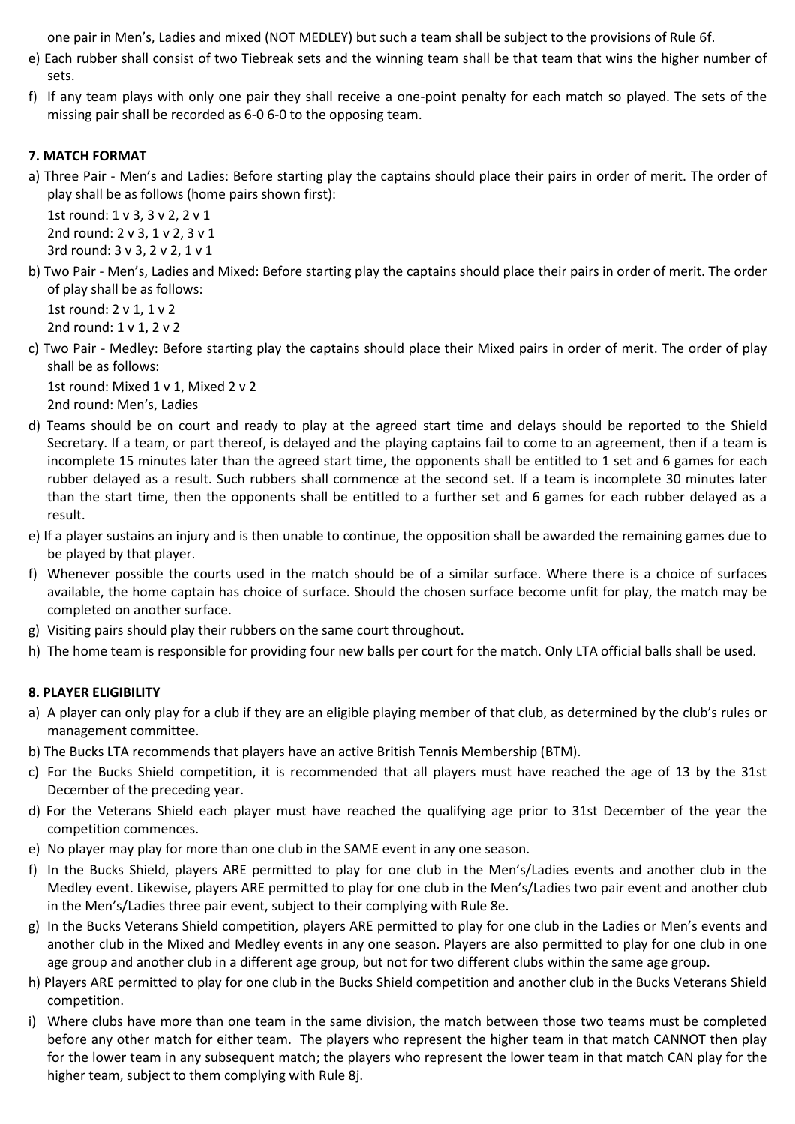one pair in Men's, Ladies and mixed (NOT MEDLEY) but such a team shall be subject to the provisions of Rule 6f.

- e) Each rubber shall consist of two Tiebreak sets and the winning team shall be that team that wins the higher number of sets.
- f) If any team plays with only one pair they shall receive a one-point penalty for each match so played. The sets of the missing pair shall be recorded as 6-0 6-0 to the opposing team.

## **7. MATCH FORMAT**

a) Three Pair - Men's and Ladies: Before starting play the captains should place their pairs in order of merit. The order of play shall be as follows (home pairs shown first):

1st round: 1 v 3, 3 v 2, 2 v 1 2nd round: 2 v 3, 1 v 2, 3 v 1 3rd round: 3 v 3, 2 v 2, 1 v 1

b) Two Pair - Men's, Ladies and Mixed: Before starting play the captains should place their pairs in order of merit. The order of play shall be as follows:

1st round: 2 v 1, 1 v 2 2nd round: 1 v 1, 2 v 2

c) Two Pair - Medley: Before starting play the captains should place their Mixed pairs in order of merit. The order of play shall be as follows:

1st round: Mixed 1 v 1, Mixed 2 v 2 2nd round: Men's, Ladies

- d) Teams should be on court and ready to play at the agreed start time and delays should be reported to the Shield Secretary. If a team, or part thereof, is delayed and the playing captains fail to come to an agreement, then if a team is incomplete 15 minutes later than the agreed start time, the opponents shall be entitled to 1 set and 6 games for each rubber delayed as a result. Such rubbers shall commence at the second set. If a team is incomplete 30 minutes later than the start time, then the opponents shall be entitled to a further set and 6 games for each rubber delayed as a result.
- e) If a player sustains an injury and is then unable to continue, the opposition shall be awarded the remaining games due to be played by that player.
- f) Whenever possible the courts used in the match should be of a similar surface. Where there is a choice of surfaces available, the home captain has choice of surface. Should the chosen surface become unfit for play, the match may be completed on another surface.
- g) Visiting pairs should play their rubbers on the same court throughout.
- h) The home team is responsible for providing four new balls per court for the match. Only LTA official balls shall be used.

## **8. PLAYER ELIGIBILITY**

- a) A player can only play for a club if they are an eligible playing member of that club, as determined by the club's rules or management committee.
- b) The Bucks LTA recommends that players have an active British Tennis Membership (BTM).
- c) For the Bucks Shield competition, it is recommended that all players must have reached the age of 13 by the 31st December of the preceding year.
- d) For the Veterans Shield each player must have reached the qualifying age prior to 31st December of the year the competition commences.
- e) No player may play for more than one club in the SAME event in any one season.
- f) In the Bucks Shield, players ARE permitted to play for one club in the Men's/Ladies events and another club in the Medley event. Likewise, players ARE permitted to play for one club in the Men's/Ladies two pair event and another club in the Men's/Ladies three pair event, subject to their complying with Rule 8e.
- g) In the Bucks Veterans Shield competition, players ARE permitted to play for one club in the Ladies or Men's events and another club in the Mixed and Medley events in any one season. Players are also permitted to play for one club in one age group and another club in a different age group, but not for two different clubs within the same age group.
- h) Players ARE permitted to play for one club in the Bucks Shield competition and another club in the Bucks Veterans Shield competition.
- i) Where clubs have more than one team in the same division, the match between those two teams must be completed before any other match for either team. The players who represent the higher team in that match CANNOT then play for the lower team in any subsequent match; the players who represent the lower team in that match CAN play for the higher team, subject to them complying with Rule 8j.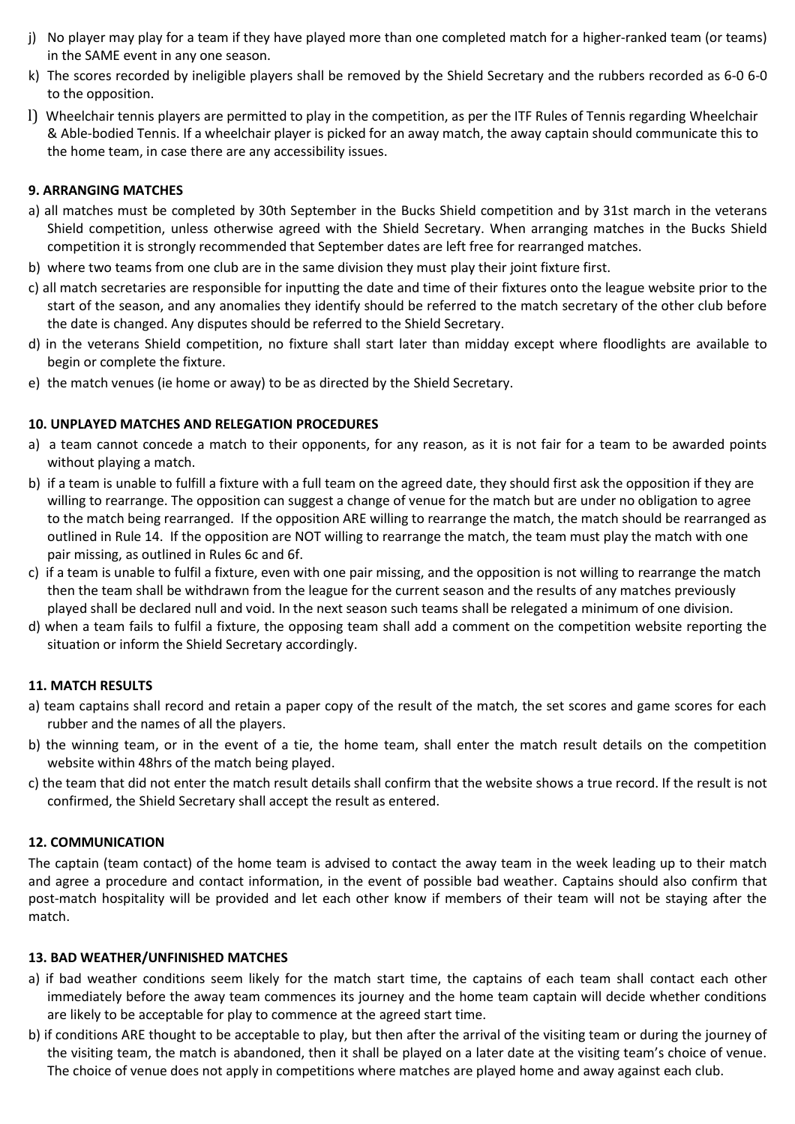- j) No player may play for a team if they have played more than one completed match for a higher-ranked team (or teams) in the SAME event in any one season.
- k) The scores recorded by ineligible players shall be removed by the Shield Secretary and the rubbers recorded as 6-0 6-0 to the opposition.
- l) Wheelchair tennis players are permitted to play in the competition, as per the ITF Rules of Tennis regarding Wheelchair & Able-bodied Tennis. If a wheelchair player is picked for an away match, the away captain should communicate this to the home team, in case there are any accessibility issues.

## **9. ARRANGING MATCHES**

- a) all matches must be completed by 30th September in the Bucks Shield competition and by 31st march in the veterans Shield competition, unless otherwise agreed with the Shield Secretary. When arranging matches in the Bucks Shield competition it is strongly recommended that September dates are left free for rearranged matches.
- b) where two teams from one club are in the same division they must play their joint fixture first.
- c) all match secretaries are responsible for inputting the date and time of their fixtures onto the league website prior to the start of the season, and any anomalies they identify should be referred to the match secretary of the other club before the date is changed. Any disputes should be referred to the Shield Secretary.
- d) in the veterans Shield competition, no fixture shall start later than midday except where floodlights are available to begin or complete the fixture.
- e) the match venues (ie home or away) to be as directed by the Shield Secretary.

### **10. UNPLAYED MATCHES AND RELEGATION PROCEDURES**

- a) a team cannot concede a match to their opponents, for any reason, as it is not fair for a team to be awarded points without playing a match.
- b) if a team is unable to fulfill a fixture with a full team on the agreed date, they should first ask the opposition if they are willing to rearrange. The opposition can suggest a change of venue for the match but are under no obligation to agree to the match being rearranged. If the opposition ARE willing to rearrange the match, the match should be rearranged as outlined in Rule 14. If the opposition are NOT willing to rearrange the match, the team must play the match with one pair missing, as outlined in Rules 6c and 6f.
- c) if a team is unable to fulfil a fixture, even with one pair missing, and the opposition is not willing to rearrange the match then the team shall be withdrawn from the league for the current season and the results of any matches previously played shall be declared null and void. In the next season such teams shall be relegated a minimum of one division.
- d) when a team fails to fulfil a fixture, the opposing team shall add a comment on the competition website reporting the situation or inform the Shield Secretary accordingly.

## **11. MATCH RESULTS**

- a) team captains shall record and retain a paper copy of the result of the match, the set scores and game scores for each rubber and the names of all the players.
- b) the winning team, or in the event of a tie, the home team, shall enter the match result details on the competition website within 48hrs of the match being played.
- c) the team that did not enter the match result details shall confirm that the website shows a true record. If the result is not confirmed, the Shield Secretary shall accept the result as entered.

## **12. COMMUNICATION**

The captain (team contact) of the home team is advised to contact the away team in the week leading up to their match and agree a procedure and contact information, in the event of possible bad weather. Captains should also confirm that post-match hospitality will be provided and let each other know if members of their team will not be staying after the match.

#### **13. BAD WEATHER/UNFINISHED MATCHES**

- a) if bad weather conditions seem likely for the match start time, the captains of each team shall contact each other immediately before the away team commences its journey and the home team captain will decide whether conditions are likely to be acceptable for play to commence at the agreed start time.
- b) if conditions ARE thought to be acceptable to play, but then after the arrival of the visiting team or during the journey of the visiting team, the match is abandoned, then it shall be played on a later date at the visiting team's choice of venue. The choice of venue does not apply in competitions where matches are played home and away against each club.